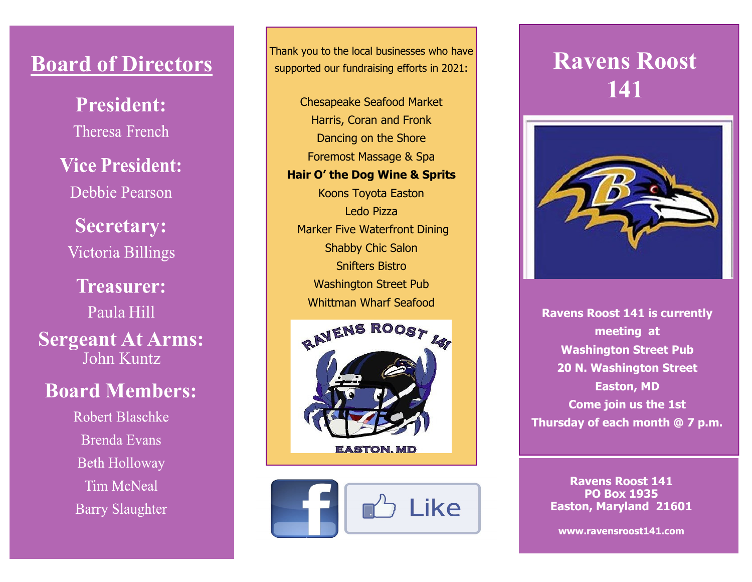## **Board of Directors**

**President:** Theresa French

**Vice President:** Debbie Pearson

**Secretary:** Victoria Billings

**Treasurer:** Paula Hill **Sergeant At Arms:** John Kuntz

### **Board Members:**

**Robert Blaschke Brenda Evans Beth Holloway Tim McNeal Barry Slaughter** 

Thank you to the local businesses who have supported our fundraising efforts in 2021:

Chesapeake Seafood Market Harris, Coran and Fronk Dancing on the Shore Foremost Massage & Spa **Hair O' the Dog Wine & Sprits** Koons Toyota Easton Ledo Pizza Marker Five Waterfront Dining Shabby Chic Salon Snifters Bistro Washington Street Pub Whittman Wharf Seafood





# **Ravens Roost 141**



**Ravens Roost 141 is currently meeting at Washington Street Pub 20 N. Washington Street Easton, MD Come join us the 1st Thursday of each month @ 7 p.m.**

**Ravens Roost 141 PO Box 1935 Easton, Maryland 21601** 

**www.ravensroost141.com**